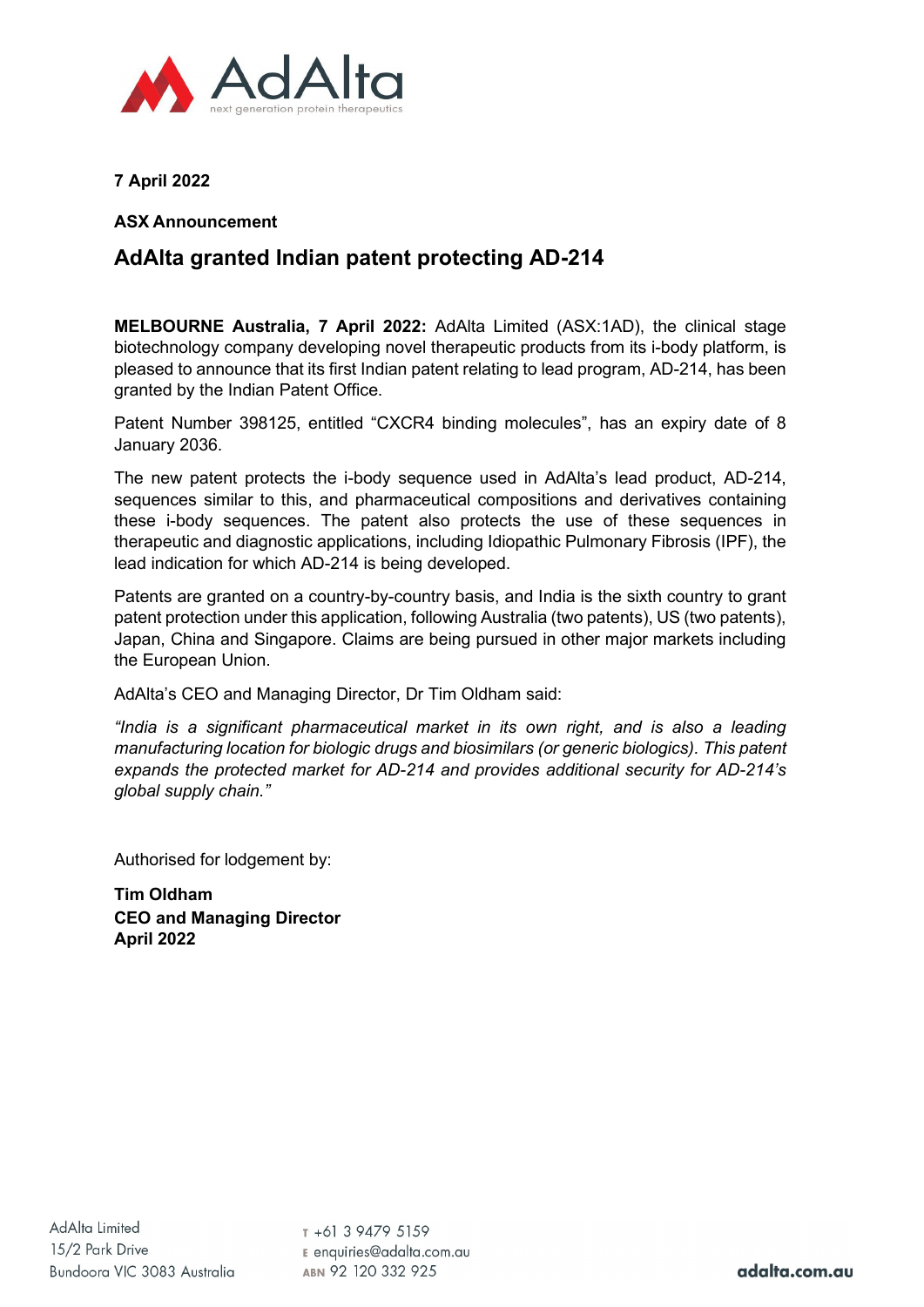

**7 April 2022**

## **ASX Announcement**

## **AdAlta granted Indian patent protecting AD-214**

**MELBOURNE Australia, 7 April 2022:** AdAlta Limited (ASX:1AD), the clinical stage biotechnology company developing novel therapeutic products from its i-body platform, is pleased to announce that its first Indian patent relating to lead program, AD-214, has been granted by the Indian Patent Office.

Patent Number 398125, entitled "CXCR4 binding molecules", has an expiry date of 8 January 2036.

The new patent protects the i-body sequence used in AdAlta's lead product, AD-214, sequences similar to this, and pharmaceutical compositions and derivatives containing these i-body sequences. The patent also protects the use of these sequences in therapeutic and diagnostic applications, including Idiopathic Pulmonary Fibrosis (IPF), the lead indication for which AD-214 is being developed.

Patents are granted on a country-by-country basis, and India is the sixth country to grant patent protection under this application, following Australia (two patents), US (two patents), Japan, China and Singapore. Claims are being pursued in other major markets including the European Union.

AdAlta's CEO and Managing Director, Dr Tim Oldham said:

*"India is a significant pharmaceutical market in its own right, and is also a leading manufacturing location for biologic drugs and biosimilars (or generic biologics). This patent expands the protected market for AD-214 and provides additional security for AD-214's global supply chain."*

Authorised for lodgement by:

**Tim Oldham CEO and Managing Director April 2022**